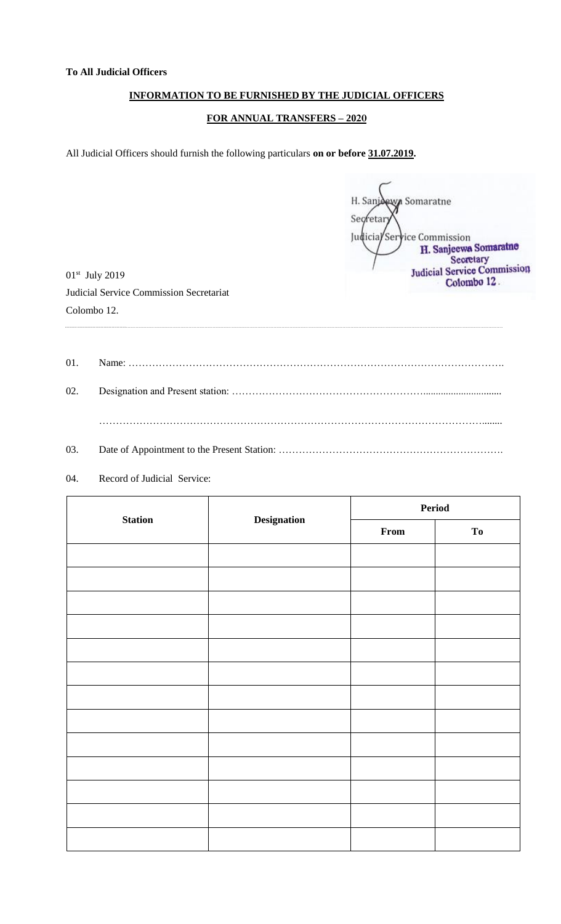## **INFORMATION TO BE FURNISHED BY THE JUDICIAL OFFICERS**

## **FOR ANNUAL TRANSFERS – 2020**

All Judicial Officers should furnish the following particulars **on or before 31.07.2019.**

H. Sanj **Ny Somaratne** Secretar Judicia/Service Commission H. Sanjeewa Somaratne<br>Secretary<br>Judicial Service Commission Colombo 12.

01st July 2019 Judicial Service Commission Secretariat Colombo 12.

01. Name: …………………………………………………………………………………………………. 02. Designation and Present station: …………………………………………………............................... ……………………………………………………………………………………………………........ 03. Date of Appointment to the Present Station: ……………………………………………………………………………………

04. Record of Judicial Service:

| <b>Station</b> | <b>Designation</b> | Period |                        |
|----------------|--------------------|--------|------------------------|
|                |                    | From   | $\mathbf{T}\mathbf{0}$ |
|                |                    |        |                        |
|                |                    |        |                        |
|                |                    |        |                        |
|                |                    |        |                        |
|                |                    |        |                        |
|                |                    |        |                        |
|                |                    |        |                        |
|                |                    |        |                        |
|                |                    |        |                        |
|                |                    |        |                        |
|                |                    |        |                        |
|                |                    |        |                        |
|                |                    |        |                        |